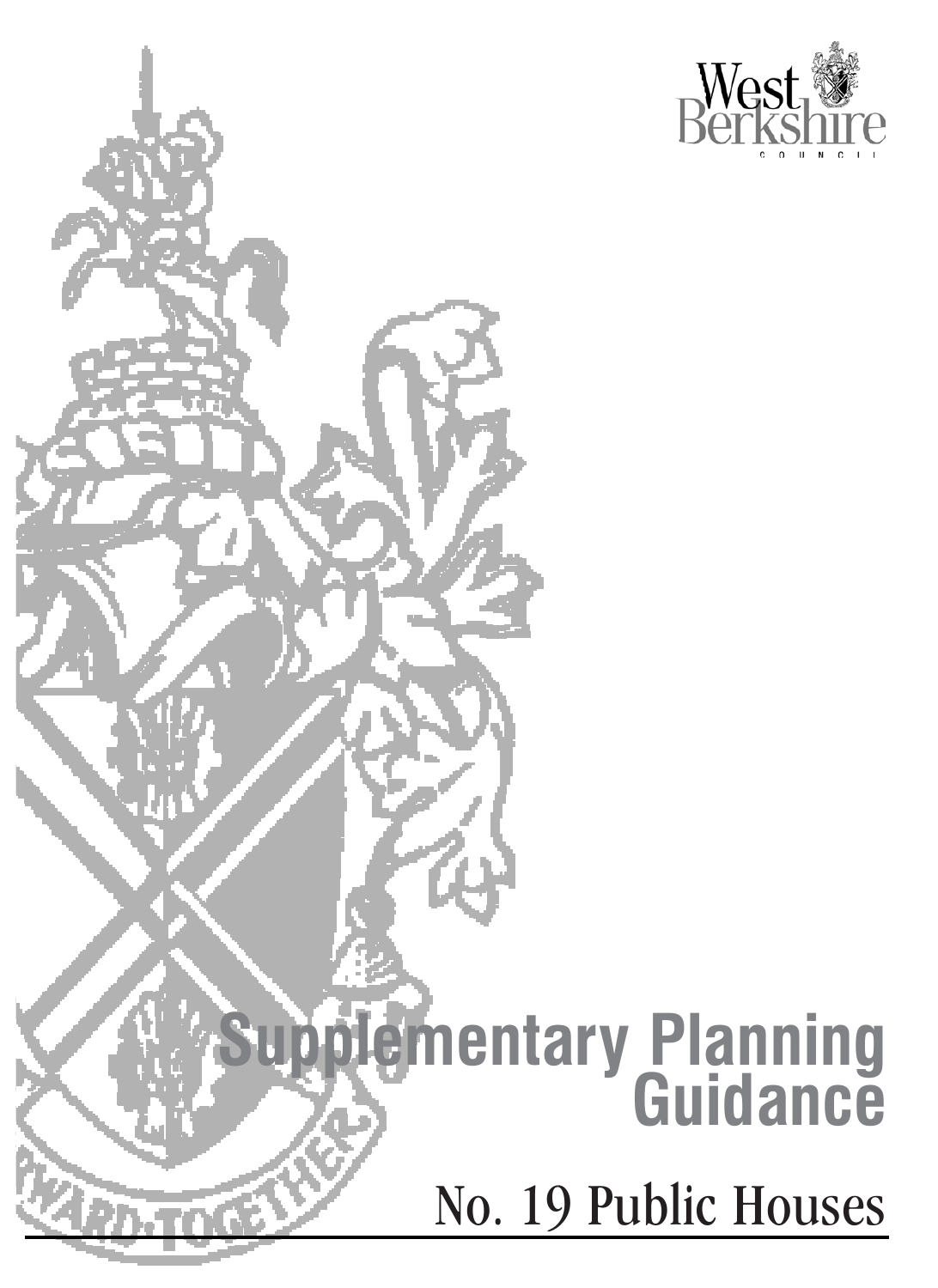

## **Supplementary Planning Guidance** No. 19 Public Houses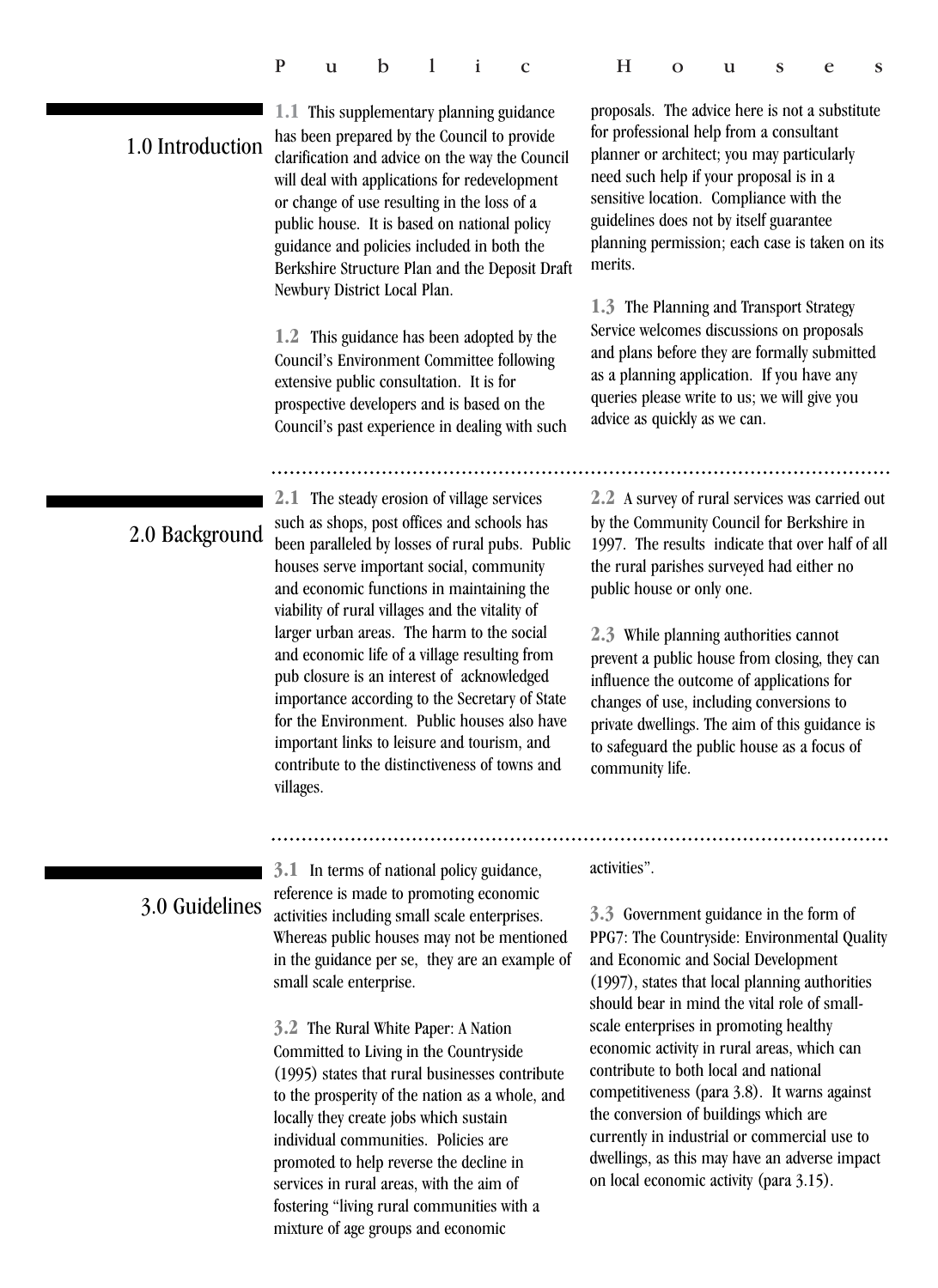| Public Houses |  |
|---------------|--|
|---------------|--|

## 1.0 Introduction

**1.1** This supplementary planning guidance has been prepared by the Council to provide clarification and advice on the way the Council will deal with applications for redevelopment or change of use resulting in the loss of a public house. It is based on national policy guidance and policies included in both the Berkshire Structure Plan and the Deposit Draft Newbury District Local Plan.

**1.2** This guidance has been adopted by the Council's Environment Committee following extensive public consultation. It is for prospective developers and is based on the Council's past experience in dealing with such

proposals. The advice here is not a substitute for professional help from a consultant planner or architect; you may particularly need such help if your proposal is in a sensitive location. Compliance with the guidelines does not by itself guarantee planning permission; each case is taken on its merits.

**1.3** The Planning and Transport Strategy Service welcomes discussions on proposals and plans before they are formally submitted as a planning application. If you have any queries please write to us; we will give you advice as quickly as we can.

## 2.0 Background

**2.1** The steady erosion of village services such as shops, post offices and schools has been paralleled by losses of rural pubs. Public houses serve important social, community and economic functions in maintaining the viability of rural villages and the vitality of larger urban areas. The harm to the social and economic life of a village resulting from pub closure is an interest of acknowledged importance according to the Secretary of State for the Environment. Public houses also have important links to leisure and tourism, and contribute to the distinctiveness of towns and villages.

**2.2** A survey of rural services was carried out by the Community Council for Berkshire in 1997. The results indicate that over half of all the rural parishes surveyed had either no public house or only one.

**2.3** While planning authorities cannot prevent a public house from closing, they can influence the outcome of applications for changes of use, including conversions to private dwellings. The aim of this guidance is to safeguard the public house as a focus of community life.

## 3.0 Guidelines

**3.1** In terms of national policy guidance, reference is made to promoting economic activities including small scale enterprises. Whereas public houses may not be mentioned in the guidance per se, they are an example of small scale enterprise.

**3.2** The Rural White Paper: A Nation Committed to Living in the Countryside (1995) states that rural businesses contribute to the prosperity of the nation as a whole, and locally they create jobs which sustain individual communities. Policies are promoted to help reverse the decline in services in rural areas, with the aim of fostering "living rural communities with a mixture of age groups and economic

activities".

**3.3** Government guidance in the form of PPG7: The Countryside: Environmental Quality and Economic and Social Development (1997), states that local planning authorities should bear in mind the vital role of smallscale enterprises in promoting healthy economic activity in rural areas, which can contribute to both local and national competitiveness (para 3.8). It warns against the conversion of buildings which are currently in industrial or commercial use to dwellings, as this may have an adverse impact on local economic activity (para 3.15).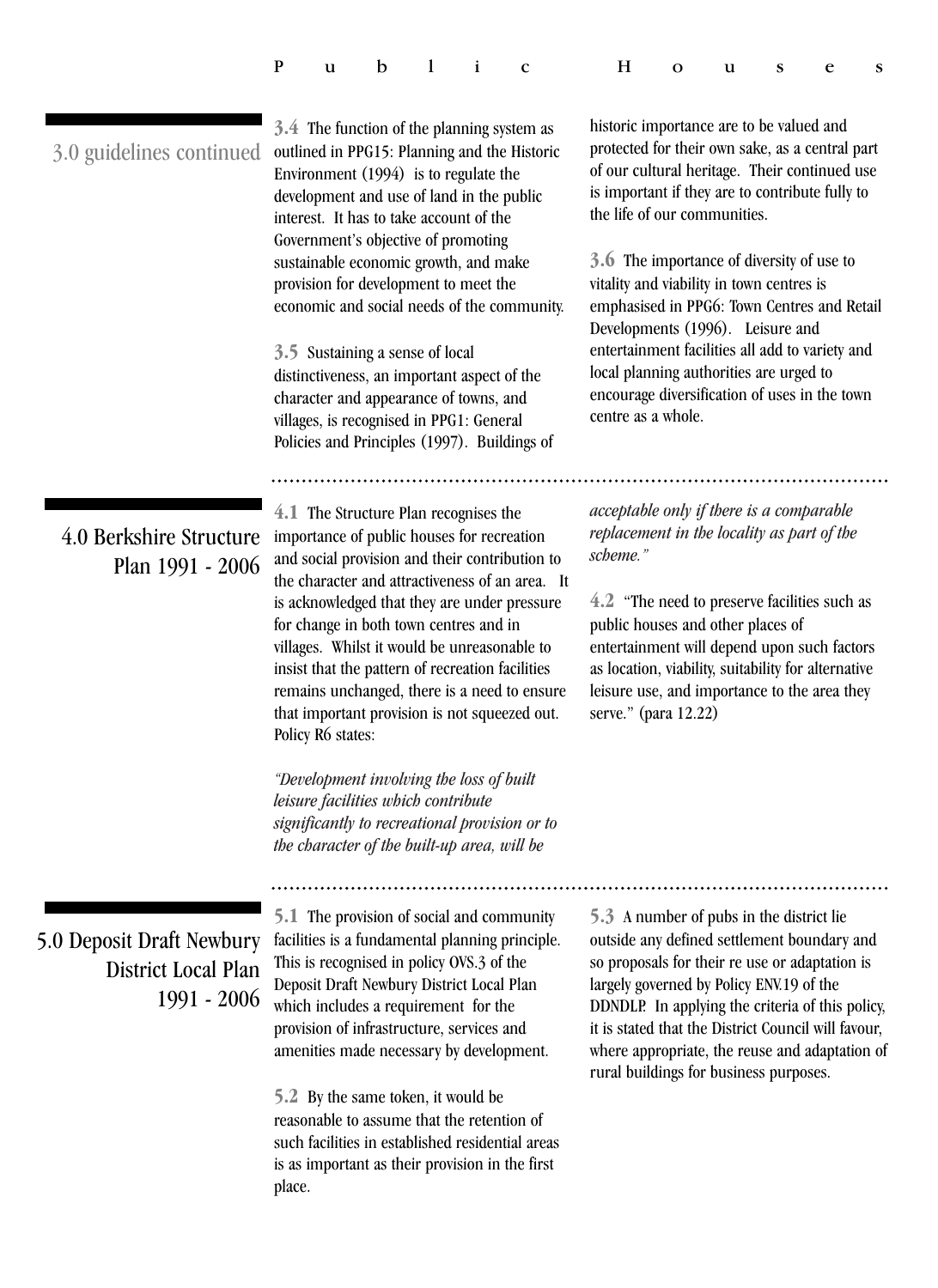| Public Houses |  |
|---------------|--|
|---------------|--|

| 3.0 guidelines continued                                        | 3.4 The function of the planning system as<br>outlined in PPG15: Planning and the Historic<br>Environment (1994) is to regulate the<br>development and use of land in the public<br>interest. It has to take account of the<br>Government's objective of promoting<br>sustainable economic growth, and make<br>provision for development to meet the<br>economic and social needs of the community.<br>3.5 Sustaining a sense of local<br>distinctiveness, an important aspect of the<br>character and appearance of towns, and<br>villages, is recognised in PPG1: General<br>Policies and Principles (1997). Buildings of                                                                     | historic importance are to be valued and<br>protected for their own sake, as a central part<br>of our cultural heritage. Their continued use<br>is important if they are to contribute fully to<br>the life of our communities.<br>3.6 The importance of diversity of use to<br>vitality and viability in town centres is<br>emphasised in PPG6: Town Centres and Retail<br>Developments (1996). Leisure and<br>entertainment facilities all add to variety and<br>local planning authorities are urged to<br>encourage diversification of uses in the town<br>centre as a whole. |  |  |  |
|-----------------------------------------------------------------|-------------------------------------------------------------------------------------------------------------------------------------------------------------------------------------------------------------------------------------------------------------------------------------------------------------------------------------------------------------------------------------------------------------------------------------------------------------------------------------------------------------------------------------------------------------------------------------------------------------------------------------------------------------------------------------------------|-----------------------------------------------------------------------------------------------------------------------------------------------------------------------------------------------------------------------------------------------------------------------------------------------------------------------------------------------------------------------------------------------------------------------------------------------------------------------------------------------------------------------------------------------------------------------------------|--|--|--|
|                                                                 |                                                                                                                                                                                                                                                                                                                                                                                                                                                                                                                                                                                                                                                                                                 |                                                                                                                                                                                                                                                                                                                                                                                                                                                                                                                                                                                   |  |  |  |
| 4.0 Berkshire Structure<br>Plan 1991 - 2006                     | 4.1 The Structure Plan recognises the<br>importance of public houses for recreation<br>and social provision and their contribution to<br>the character and attractiveness of an area. It<br>is acknowledged that they are under pressure<br>for change in both town centres and in<br>villages. Whilst it would be unreasonable to<br>insist that the pattern of recreation facilities<br>remains unchanged, there is a need to ensure<br>that important provision is not squeezed out.<br>Policy R6 states:<br>"Development involving the loss of built<br>leisure facilities which contribute<br>significantly to recreational provision or to<br>the character of the built-up area, will be | acceptable only if there is a comparable<br>replacement in the locality as part of the<br>scheme."<br>4.2 "The need to preserve facilities such as<br>public houses and other places of<br>entertainment will depend upon such factors<br>as location, viability, suitability for alternative<br>leisure use, and importance to the area they<br>serve." (para 12.22)                                                                                                                                                                                                             |  |  |  |
| 5.0 Deposit Draft Newbury<br>District Local Plan<br>1991 - 2006 | <b>5.1</b> The provision of social and community<br>facilities is a fundamental planning principle.<br>This is recognised in policy OVS.3 of the<br>Deposit Draft Newbury District Local Plan<br>which includes a requirement for the<br>provision of infrastructure, services and<br>amenities made necessary by development.<br>5.2 By the same token, it would be<br>reasonable to assume that the retention of<br>such facilities in established residential areas<br>is as important as their provision in the first<br>place.                                                                                                                                                             | 5.3 A number of pubs in the district lie<br>outside any defined settlement boundary and<br>so proposals for their re use or adaptation is<br>largely governed by Policy ENV.19 of the<br>DDNDLP. In applying the criteria of this policy,<br>it is stated that the District Council will favour,<br>where appropriate, the reuse and adaptation of<br>rural buildings for business purposes.                                                                                                                                                                                      |  |  |  |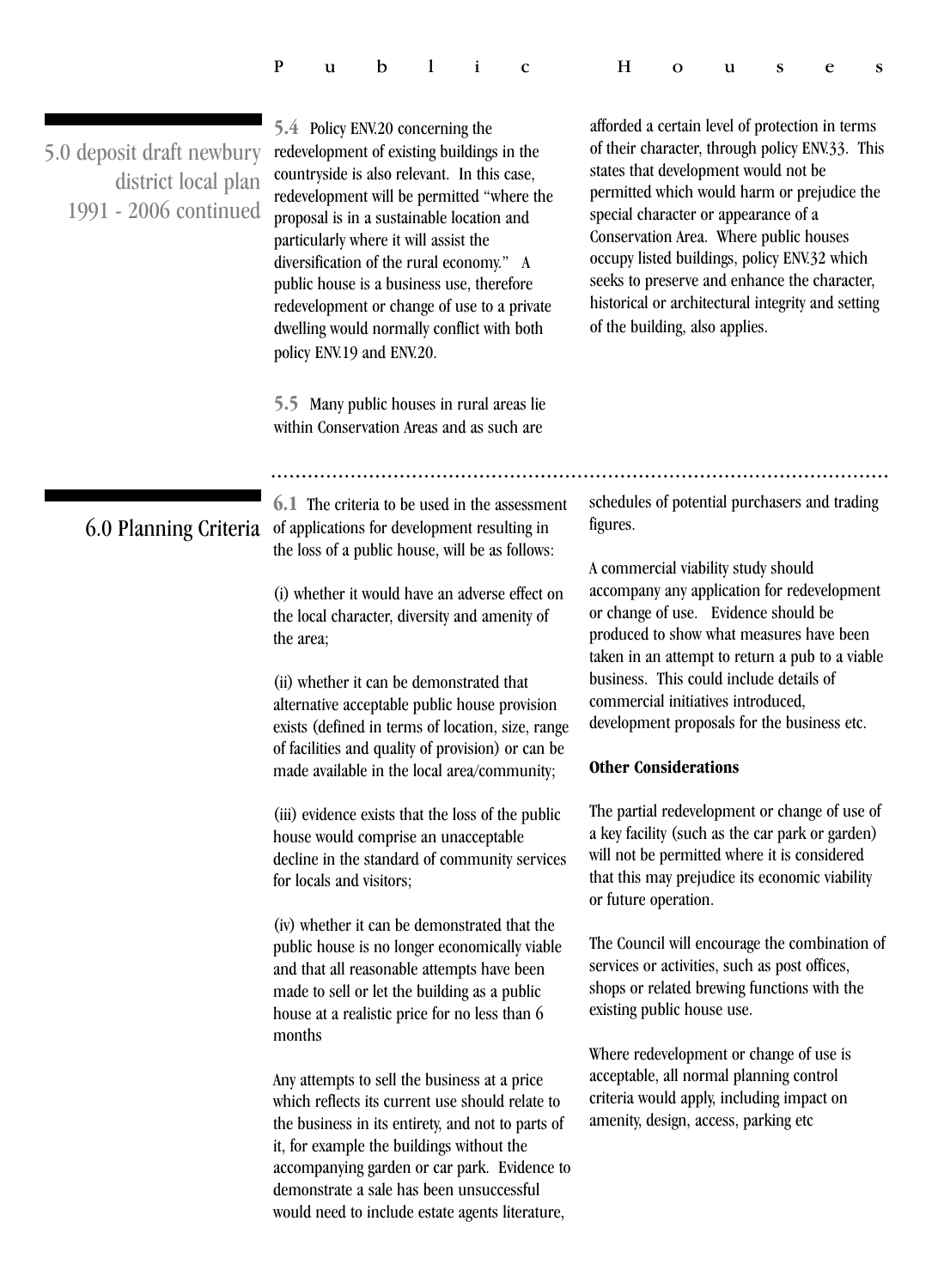|  |  |  |  |  |  | Public Houses |  |  |  |  |  |
|--|--|--|--|--|--|---------------|--|--|--|--|--|
|--|--|--|--|--|--|---------------|--|--|--|--|--|

| 5.0 deposit draft newbury<br>district local plan<br>1991 - 2006 continued | 5.4 Policy ENV.20 concerning the<br>redevelopment of existing buildings in the<br>countryside is also relevant. In this case,<br>redevelopment will be permitted "where the<br>proposal is in a sustainable location and<br>particularly where it will assist the<br>diversification of the rural economy." A<br>public house is a business use, therefore<br>redevelopment or change of use to a private<br>dwelling would normally conflict with both<br>policy ENV.19 and ENV.20.<br>5.5 Many public houses in rural areas lie | afforded a certain level of protection in terms<br>of their character, through policy ENV.33. This<br>states that development would not be<br>permitted which would harm or prejudice the<br>special character or appearance of a<br>Conservation Area. Where public houses<br>occupy listed buildings, policy ENV.32 which<br>seeks to preserve and enhance the character,<br>historical or architectural integrity and setting<br>of the building, also applies. |  |  |  |
|---------------------------------------------------------------------------|-----------------------------------------------------------------------------------------------------------------------------------------------------------------------------------------------------------------------------------------------------------------------------------------------------------------------------------------------------------------------------------------------------------------------------------------------------------------------------------------------------------------------------------|--------------------------------------------------------------------------------------------------------------------------------------------------------------------------------------------------------------------------------------------------------------------------------------------------------------------------------------------------------------------------------------------------------------------------------------------------------------------|--|--|--|
|                                                                           | within Conservation Areas and as such are                                                                                                                                                                                                                                                                                                                                                                                                                                                                                         |                                                                                                                                                                                                                                                                                                                                                                                                                                                                    |  |  |  |
|                                                                           |                                                                                                                                                                                                                                                                                                                                                                                                                                                                                                                                   |                                                                                                                                                                                                                                                                                                                                                                                                                                                                    |  |  |  |
| 6.0 Planning Criteria                                                     | 6.1 The criteria to be used in the assessment<br>of applications for development resulting in<br>the loss of a public house, will be as follows:                                                                                                                                                                                                                                                                                                                                                                                  | schedules of potential purchasers and trading<br>figures.                                                                                                                                                                                                                                                                                                                                                                                                          |  |  |  |
|                                                                           | (i) whether it would have an adverse effect on<br>the local character, diversity and amenity of<br>the area;                                                                                                                                                                                                                                                                                                                                                                                                                      | A commercial viability study should<br>accompany any application for redevelopment<br>or change of use. Evidence should be<br>produced to show what measures have been<br>taken in an attempt to return a pub to a viable                                                                                                                                                                                                                                          |  |  |  |
|                                                                           | (ii) whether it can be demonstrated that<br>alternative acceptable public house provision<br>exists (defined in terms of location, size, range<br>of facilities and quality of provision) or can be                                                                                                                                                                                                                                                                                                                               | business. This could include details of<br>commercial initiatives introduced,<br>development proposals for the business etc.                                                                                                                                                                                                                                                                                                                                       |  |  |  |
|                                                                           | made available in the local area/community;                                                                                                                                                                                                                                                                                                                                                                                                                                                                                       | <b>Other Considerations</b>                                                                                                                                                                                                                                                                                                                                                                                                                                        |  |  |  |
|                                                                           | (iii) evidence exists that the loss of the public<br>house would comprise an unacceptable<br>decline in the standard of community services<br>for locals and visitors;                                                                                                                                                                                                                                                                                                                                                            | The partial redevelopment or change of use of<br>a key facility (such as the car park or garden)<br>will not be permitted where it is considered<br>that this may prejudice its economic viability<br>or future operation.                                                                                                                                                                                                                                         |  |  |  |
|                                                                           | (iv) whether it can be demonstrated that the<br>public house is no longer economically viable<br>and that all reasonable attempts have been<br>made to sell or let the building as a public<br>house at a realistic price for no less than 6<br>months                                                                                                                                                                                                                                                                            | The Council will encourage the combination of<br>services or activities, such as post offices,<br>shops or related brewing functions with the<br>existing public house use.                                                                                                                                                                                                                                                                                        |  |  |  |
|                                                                           | Any attempts to sell the business at a price<br>which reflects its current use should relate to<br>the business in its entirety, and not to parts of<br>it, for example the buildings without the<br>accompanying garden or car park. Evidence to<br>demonstrate a sale has been unsuccessful<br>would need to include estate agents literature,                                                                                                                                                                                  | Where redevelopment or change of use is<br>acceptable, all normal planning control<br>criteria would apply, including impact on<br>amenity, design, access, parking etc                                                                                                                                                                                                                                                                                            |  |  |  |